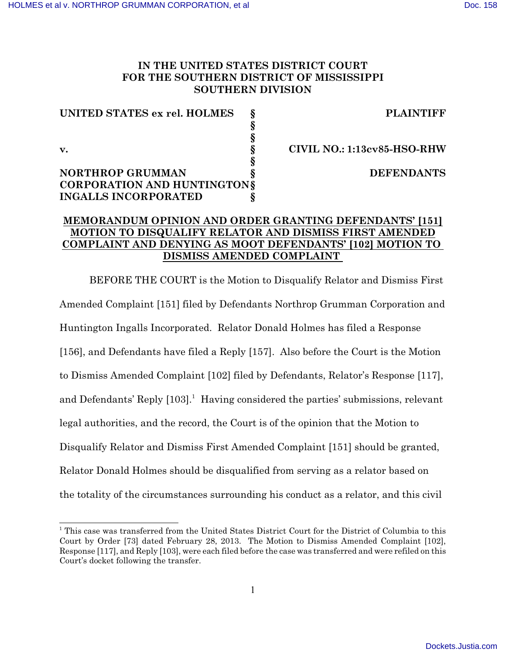# **IN THE UNITED STATES DISTRICT COURT FOR THE SOUTHERN DISTRICT OF MISSISSIPPI SOUTHERN DIVISION**

| UNITED STATES ex rel. HOLMES       | <b>PLAINTIFF</b>                   |
|------------------------------------|------------------------------------|
|                                    |                                    |
|                                    |                                    |
| $\mathbf{v}$ .                     | <b>CIVIL NO.: 1:13cv85-HSO-RHW</b> |
|                                    |                                    |
| <b>NORTHROP GRUMMAN</b>            | <b>DEFENDANTS</b>                  |
| <b>CORPORATION AND HUNTINGTONS</b> |                                    |
| <b>INGALLS INCORPORATED</b>        |                                    |

# **MEMORANDUM OPINION AND ORDER GRANTING DEFENDANTS' [151] MOTION TO DISQUALIFY RELATOR AND DISMISS FIRST AMENDED COMPLAINT AND DENYING AS MOOT DEFENDANTS' [102] MOTION TO DISMISS AMENDED COMPLAINT**

BEFORE THE COURT is the Motion to Disqualify Relator and Dismiss First Amended Complaint [151] filed by Defendants Northrop Grumman Corporation and Huntington Ingalls Incorporated. Relator Donald Holmes has filed a Response [156], and Defendants have filed a Reply [157]. Also before the Court is the Motion to Dismiss Amended Complaint [102] filed by Defendants, Relator's Response [117], and Defendants' Reply [103].<sup>1</sup> Having considered the parties' submissions, relevant legal authorities, and the record, the Court is of the opinion that the Motion to Disqualify Relator and Dismiss First Amended Complaint [151] should be granted, Relator Donald Holmes should be disqualified from serving as a relator based on the totality of the circumstances surrounding his conduct as a relator, and this civil

<sup>&</sup>lt;sup>1</sup> This case was transferred from the United States District Court for the District of Columbia to this Court by Order [73] dated February 28, 2013. The Motion to Dismiss Amended Complaint [102], Response [117], and Reply [103], were each filed before the case was transferred and were refiled on this Court's docket following the transfer.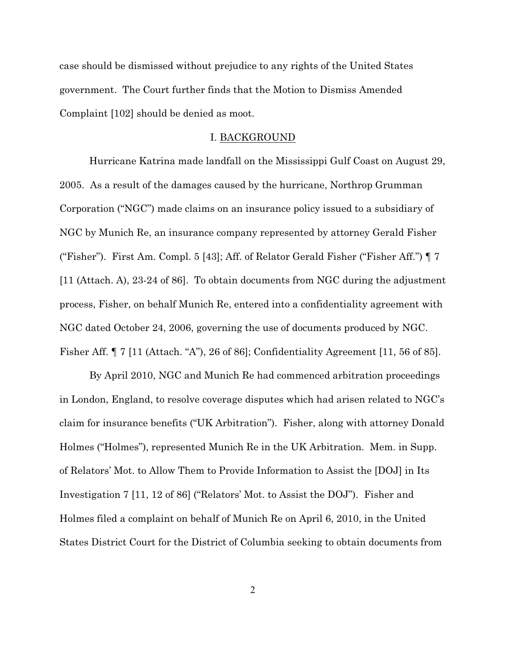case should be dismissed without prejudice to any rights of the United States government. The Court further finds that the Motion to Dismiss Amended Complaint [102] should be denied as moot.

#### I. BACKGROUND

Hurricane Katrina made landfall on the Mississippi Gulf Coast on August 29, 2005. As a result of the damages caused by the hurricane, Northrop Grumman Corporation ("NGC") made claims on an insurance policy issued to a subsidiary of NGC by Munich Re, an insurance company represented by attorney Gerald Fisher ("Fisher"). First Am. Compl. 5 [43]; Aff. of Relator Gerald Fisher ("Fisher Aff.") ¶ 7 [11 (Attach. A), 23-24 of 86]. To obtain documents from NGC during the adjustment process, Fisher, on behalf Munich Re, entered into a confidentiality agreement with NGC dated October 24, 2006, governing the use of documents produced by NGC. Fisher Aff. ¶ 7 [11 (Attach. "A"), 26 of 86]; Confidentiality Agreement [11, 56 of 85].

By April 2010, NGC and Munich Re had commenced arbitration proceedings in London, England, to resolve coverage disputes which had arisen related to NGC's claim for insurance benefits ("UK Arbitration"). Fisher, along with attorney Donald Holmes ("Holmes"), represented Munich Re in the UK Arbitration. Mem. in Supp. of Relators' Mot. to Allow Them to Provide Information to Assist the [DOJ] in Its Investigation 7 [11, 12 of 86] ("Relators' Mot. to Assist the DOJ"). Fisher and Holmes filed a complaint on behalf of Munich Re on April 6, 2010, in the United States District Court for the District of Columbia seeking to obtain documents from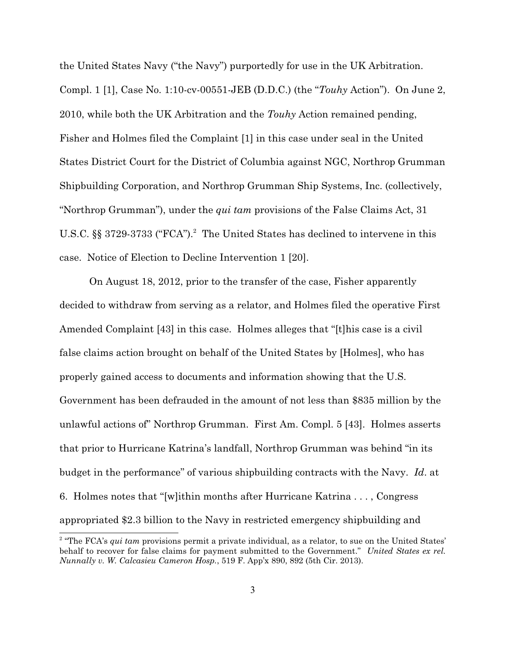the United States Navy ("the Navy") purportedly for use in the UK Arbitration. Compl. 1 [1], Case No. 1:10-cv-00551-JEB (D.D.C.) (the "*Touhy* Action"). On June 2, 2010, while both the UK Arbitration and the *Touhy* Action remained pending, Fisher and Holmes filed the Complaint [1] in this case under seal in the United States District Court for the District of Columbia against NGC, Northrop Grumman Shipbuilding Corporation, and Northrop Grumman Ship Systems, Inc. (collectively, "Northrop Grumman"), under the *qui tam* provisions of the False Claims Act, 31 U.S.C.  $\S$ § 3729-3733 ("FCA").<sup>2</sup> The United States has declined to intervene in this case. Notice of Election to Decline Intervention 1 [20].

On August 18, 2012, prior to the transfer of the case, Fisher apparently decided to withdraw from serving as a relator, and Holmes filed the operative First Amended Complaint [43] in this case. Holmes alleges that "[t]his case is a civil false claims action brought on behalf of the United States by [Holmes], who has properly gained access to documents and information showing that the U.S. Government has been defrauded in the amount of not less than \$835 million by the unlawful actions of" Northrop Grumman. First Am. Compl. 5 [43]. Holmes asserts that prior to Hurricane Katrina's landfall, Northrop Grumman was behind "in its budget in the performance" of various shipbuilding contracts with the Navy. *Id*. at 6. Holmes notes that "[w]ithin months after Hurricane Katrina . . . , Congress appropriated \$2.3 billion to the Navy in restricted emergency shipbuilding and

<sup>&</sup>lt;sup>2</sup> "The FCA's *qui tam* provisions permit a private individual, as a relator, to sue on the United States' behalf to recover for false claims for payment submitted to the Government." *United States ex rel. Nunnally v. W. Calcasieu Cameron Hosp.*, 519 F. App'x 890, 892 (5th Cir. 2013).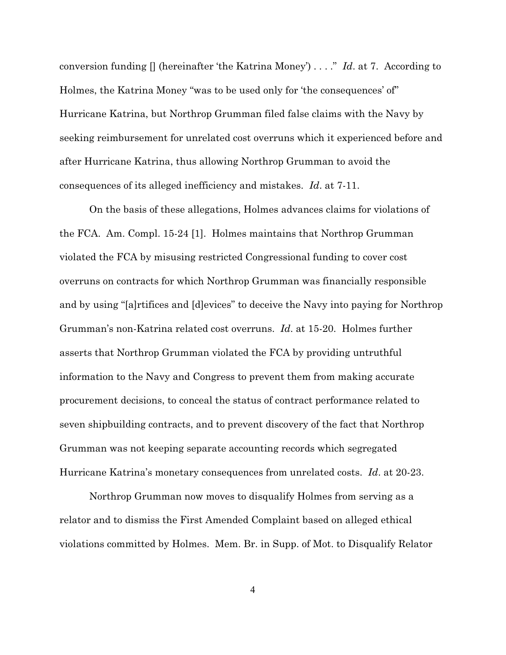conversion funding [] (hereinafter 'the Katrina Money') . . . ." *Id*. at 7. According to Holmes, the Katrina Money "was to be used only for 'the consequences' of" Hurricane Katrina, but Northrop Grumman filed false claims with the Navy by seeking reimbursement for unrelated cost overruns which it experienced before and after Hurricane Katrina, thus allowing Northrop Grumman to avoid the consequences of its alleged inefficiency and mistakes. *Id*. at 7-11.

On the basis of these allegations, Holmes advances claims for violations of the FCA. Am. Compl. 15-24 [1]. Holmes maintains that Northrop Grumman violated the FCA by misusing restricted Congressional funding to cover cost overruns on contracts for which Northrop Grumman was financially responsible and by using "[a]rtifices and [d]evices" to deceive the Navy into paying for Northrop Grumman's non-Katrina related cost overruns. *Id*. at 15-20. Holmes further asserts that Northrop Grumman violated the FCA by providing untruthful information to the Navy and Congress to prevent them from making accurate procurement decisions, to conceal the status of contract performance related to seven shipbuilding contracts, and to prevent discovery of the fact that Northrop Grumman was not keeping separate accounting records which segregated Hurricane Katrina's monetary consequences from unrelated costs. *Id*. at 20-23.

Northrop Grumman now moves to disqualify Holmes from serving as a relator and to dismiss the First Amended Complaint based on alleged ethical violations committed by Holmes. Mem. Br. in Supp. of Mot. to Disqualify Relator

4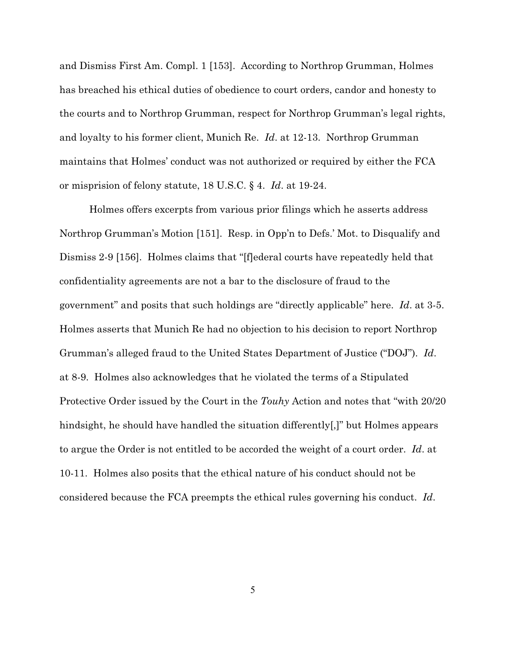and Dismiss First Am. Compl. 1 [153]. According to Northrop Grumman, Holmes has breached his ethical duties of obedience to court orders, candor and honesty to the courts and to Northrop Grumman, respect for Northrop Grumman's legal rights, and loyalty to his former client, Munich Re. *Id*. at 12-13. Northrop Grumman maintains that Holmes' conduct was not authorized or required by either the FCA or misprision of felony statute, 18 U.S.C. § 4. *Id*. at 19-24.

Holmes offers excerpts from various prior filings which he asserts address Northrop Grumman's Motion [151]. Resp. in Opp'n to Defs.' Mot. to Disqualify and Dismiss 2-9 [156]. Holmes claims that "[f]ederal courts have repeatedly held that confidentiality agreements are not a bar to the disclosure of fraud to the government" and posits that such holdings are "directly applicable" here. *Id*. at 3-5. Holmes asserts that Munich Re had no objection to his decision to report Northrop Grumman's alleged fraud to the United States Department of Justice ("DOJ"). *Id*. at 8-9. Holmes also acknowledges that he violated the terms of a Stipulated Protective Order issued by the Court in the *Touhy* Action and notes that "with 20/20 hindsight, he should have handled the situation differently[,]" but Holmes appears to argue the Order is not entitled to be accorded the weight of a court order. *Id*. at 10-11. Holmes also posits that the ethical nature of his conduct should not be considered because the FCA preempts the ethical rules governing his conduct. *Id*.

5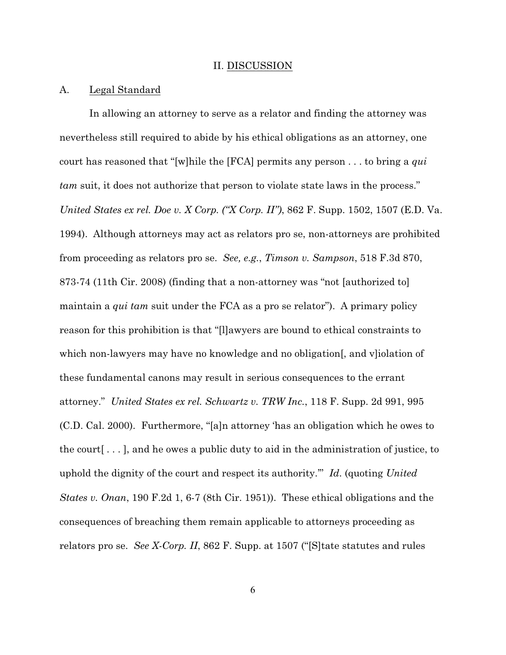#### II. DISCUSSION

#### A. Legal Standard

In allowing an attorney to serve as a relator and finding the attorney was nevertheless still required to abide by his ethical obligations as an attorney, one court has reasoned that "[w]hile the [FCA] permits any person . . . to bring a *qui tam* suit, it does not authorize that person to violate state laws in the process." *United States ex rel. Doe v. X Corp. ("X Corp. II")*, 862 F. Supp. 1502, 1507 (E.D. Va. 1994). Although attorneys may act as relators pro se, non-attorneys are prohibited from proceeding as relators pro se. *See, e.g.*, *Timson v. Sampson*, 518 F.3d 870, 873-74 (11th Cir. 2008) (finding that a non-attorney was "not [authorized to] maintain a *qui tam* suit under the FCA as a pro se relator"). A primary policy reason for this prohibition is that "[l]awyers are bound to ethical constraints to which non-lawyers may have no knowledge and no obligation[, and v]iolation of these fundamental canons may result in serious consequences to the errant attorney." *United States ex rel. Schwartz v. TRW Inc.*, 118 F. Supp. 2d 991, 995 (C.D. Cal. 2000). Furthermore, "[a]n attorney 'has an obligation which he owes to the court[ . . . ], and he owes a public duty to aid in the administration of justice, to uphold the dignity of the court and respect its authority.'" *Id*. (quoting *United States v. Onan*, 190 F.2d 1, 6-7 (8th Cir. 1951)). These ethical obligations and the consequences of breaching them remain applicable to attorneys proceeding as relators pro se. *See X-Corp. II*, 862 F. Supp. at 1507 ("[S]tate statutes and rules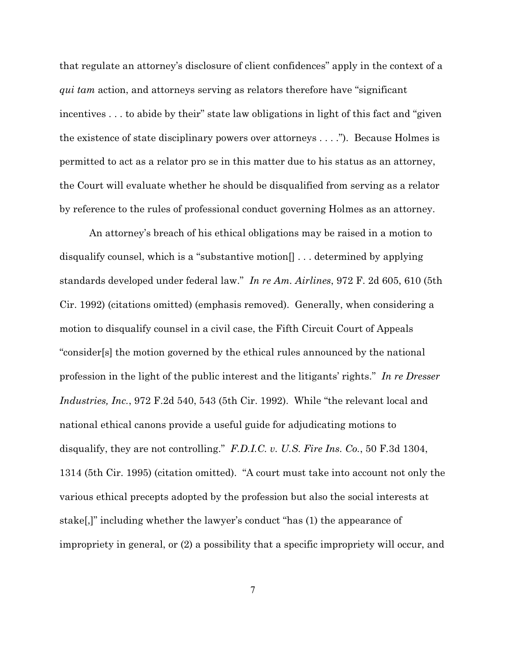that regulate an attorney's disclosure of client confidences" apply in the context of a *qui tam* action, and attorneys serving as relators therefore have "significant incentives . . . to abide by their" state law obligations in light of this fact and "given the existence of state disciplinary powers over attorneys . . . ."). Because Holmes is permitted to act as a relator pro se in this matter due to his status as an attorney, the Court will evaluate whether he should be disqualified from serving as a relator by reference to the rules of professional conduct governing Holmes as an attorney.

An attorney's breach of his ethical obligations may be raised in a motion to disqualify counsel, which is a "substantive motion[] . . . determined by applying standards developed under federal law." *In re Am. Airlines*, 972 F. 2d 605, 610 (5th Cir. 1992) (citations omitted) (emphasis removed). Generally, when considering a motion to disqualify counsel in a civil case, the Fifth Circuit Court of Appeals "consider[s] the motion governed by the ethical rules announced by the national profession in the light of the public interest and the litigants' rights." *In re Dresser Industries, Inc.*, 972 F.2d 540, 543 (5th Cir. 1992). While "the relevant local and national ethical canons provide a useful guide for adjudicating motions to disqualify, they are not controlling." *F.D.I.C. v. U.S. Fire Ins. Co.*, 50 F.3d 1304, 1314 (5th Cir. 1995) (citation omitted). "A court must take into account not only the various ethical precepts adopted by the profession but also the social interests at stake[,]" including whether the lawyer's conduct "has (1) the appearance of impropriety in general, or (2) a possibility that a specific impropriety will occur, and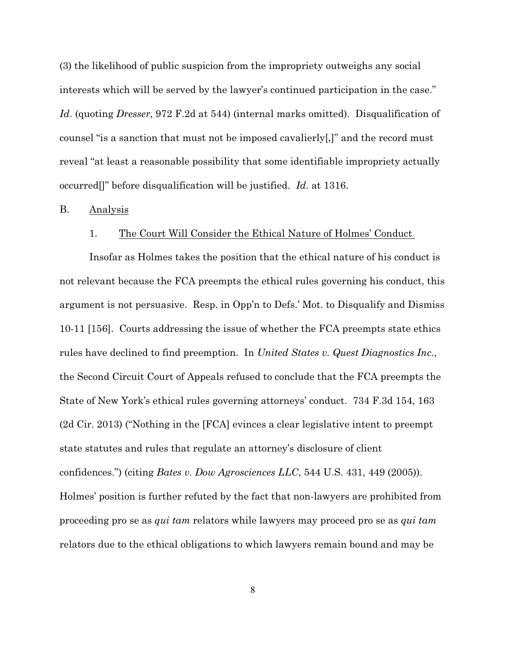(3) the likelihood of public suspicion from the impropriety outweighs any social interests which will be served by the lawyer's continued participation in the case." *Id*. (quoting *Dresser*, 972 F.2d at 544) (internal marks omitted). Disqualification of counsel "is a sanction that must not be imposed cavalierly[,]" and the record must reveal "at least a reasonable possibility that some identifiable impropriety actually occurred[]" before disqualification will be justified. *Id*. at 1316.

#### B. Analysis

#### 1. The Court Will Consider the Ethical Nature of Holmes' Conduct

Insofar as Holmes takes the position that the ethical nature of his conduct is not relevant because the FCA preempts the ethical rules governing his conduct, this argument is not persuasive. Resp. in Opp'n to Defs.' Mot. to Disqualify and Dismiss 10-11 [156]. Courts addressing the issue of whether the FCA preempts state ethics rules have declined to find preemption. In *United States v. Quest Diagnostics Inc.*, the Second Circuit Court of Appeals refused to conclude that the FCA preempts the State of New York's ethical rules governing attorneys' conduct. 734 F.3d 154, 163 (2d Cir. 2013) ("Nothing in the [FCA] evinces a clear legislative intent to preempt state statutes and rules that regulate an attorney's disclosure of client confidences.") (citing *Bates v. Dow Agrosciences LLC*, 544 U.S. 431, 449 (2005)). Holmes' position is further refuted by the fact that non-lawyers are prohibited from proceeding pro se as *qui tam* relators while lawyers may proceed pro se as *qui tam* relators due to the ethical obligations to which lawyers remain bound and may be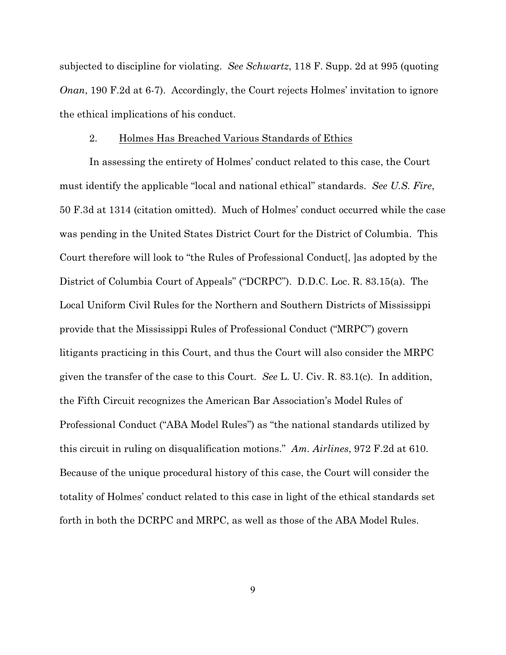subjected to discipline for violating. *See Schwartz*, 118 F. Supp. 2d at 995 (quoting *Onan*, 190 F.2d at 6-7). Accordingly, the Court rejects Holmes' invitation to ignore the ethical implications of his conduct.

#### 2. Holmes Has Breached Various Standards of Ethics

In assessing the entirety of Holmes' conduct related to this case, the Court must identify the applicable "local and national ethical" standards. *See U.S. Fire*, 50 F.3d at 1314 (citation omitted). Much of Holmes' conduct occurred while the case was pending in the United States District Court for the District of Columbia. This Court therefore will look to "the Rules of Professional Conduct[, ]as adopted by the District of Columbia Court of Appeals" ("DCRPC"). D.D.C. Loc. R. 83.15(a). The Local Uniform Civil Rules for the Northern and Southern Districts of Mississippi provide that the Mississippi Rules of Professional Conduct ("MRPC") govern litigants practicing in this Court, and thus the Court will also consider the MRPC given the transfer of the case to this Court. *See* L. U. Civ. R. 83.1(c). In addition, the Fifth Circuit recognizes the American Bar Association's Model Rules of Professional Conduct ("ABA Model Rules") as "the national standards utilized by this circuit in ruling on disqualification motions." *Am. Airlines*, 972 F.2d at 610. Because of the unique procedural history of this case, the Court will consider the totality of Holmes' conduct related to this case in light of the ethical standards set forth in both the DCRPC and MRPC, as well as those of the ABA Model Rules.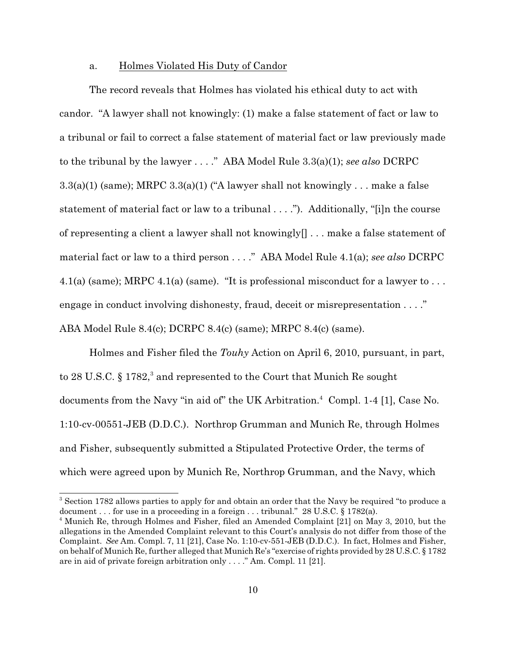#### a. Holmes Violated His Duty of Candor

The record reveals that Holmes has violated his ethical duty to act with candor. "A lawyer shall not knowingly: (1) make a false statement of fact or law to a tribunal or fail to correct a false statement of material fact or law previously made to the tribunal by the lawyer . . . ." ABA Model Rule 3.3(a)(1); *see also* DCRPC  $3.3(a)(1)$  (same); MRPC  $3.3(a)(1)$  ("A lawyer shall not knowingly ... make a false statement of material fact or law to a tribunal . . . ."). Additionally, "[i]n the course of representing a client a lawyer shall not knowingly[] . . . make a false statement of material fact or law to a third person . . . ." ABA Model Rule 4.1(a); *see also* DCRPC 4.1(a) (same); MRPC 4.1(a) (same). "It is professional misconduct for a lawyer to ... engage in conduct involving dishonesty, fraud, deceit or misrepresentation . . . ." ABA Model Rule 8.4(c); DCRPC 8.4(c) (same); MRPC 8.4(c) (same).

Holmes and Fisher filed the *Touhy* Action on April 6, 2010, pursuant, in part, to 28 U.S.C.  $\S 1782$ , and represented to the Court that Munich Re sought documents from the Navy "in aid of" the UK Arbitration. $4$  Compl. 1-4 [1], Case No. 1:10-cv-00551-JEB (D.D.C.). Northrop Grumman and Munich Re, through Holmes and Fisher, subsequently submitted a Stipulated Protective Order, the terms of which were agreed upon by Munich Re, Northrop Grumman, and the Navy, which

<sup>&</sup>lt;sup>3</sup> Section 1782 allows parties to apply for and obtain an order that the Navy be required "to produce a document . . . for use in a proceeding in a foreign . . . tribunal." 28 U.S.C. § 1782(a).

<sup>&</sup>lt;sup>4</sup> Munich Re, through Holmes and Fisher, filed an Amended Complaint [21] on May 3, 2010, but the allegations in the Amended Complaint relevant to this Court's analysis do not differ from those of the Complaint. *See* Am. Compl. 7, 11 [21], Case No. 1:10-cv-551-JEB (D.D.C.). In fact, Holmes and Fisher, on behalf of Munich Re, further alleged that Munich Re's "exercise of rights provided by 28 U.S.C. § 1782 are in aid of private foreign arbitration only . . . ." Am. Compl. 11 [21].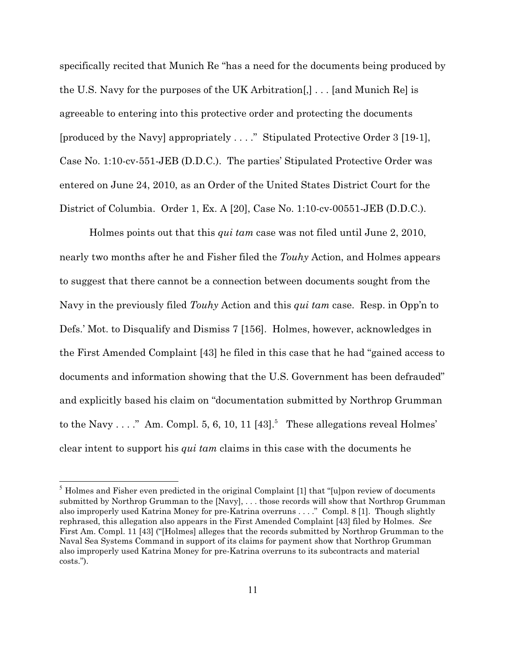specifically recited that Munich Re "has a need for the documents being produced by the U.S. Navy for the purposes of the UK Arbitration[,] . . . [and Munich Re] is agreeable to entering into this protective order and protecting the documents [produced by the Navy] appropriately . . . ." Stipulated Protective Order 3 [19-1], Case No. 1:10-cv-551-JEB (D.D.C.). The parties' Stipulated Protective Order was entered on June 24, 2010, as an Order of the United States District Court for the District of Columbia. Order 1, Ex. A [20], Case No. 1:10-cv-00551-JEB (D.D.C.).

Holmes points out that this *qui tam* case was not filed until June 2, 2010, nearly two months after he and Fisher filed the *Touhy* Action, and Holmes appears to suggest that there cannot be a connection between documents sought from the Navy in the previously filed *Touhy* Action and this *qui tam* case. Resp. in Opp'n to Defs.' Mot. to Disqualify and Dismiss 7 [156]. Holmes, however, acknowledges in the First Amended Complaint [43] he filed in this case that he had "gained access to documents and information showing that the U.S. Government has been defrauded" and explicitly based his claim on "documentation submitted by Northrop Grumman to the Navy . . . ." Am. Compl. 5, 6, 10, 11  $[43]$ <sup>5</sup> These allegations reveal Holmes' clear intent to support his *qui tam* claims in this case with the documents he

 $5$  Holmes and Fisher even predicted in the original Complaint [1] that "[u]pon review of documents submitted by Northrop Grumman to the [Navy], . . . those records will show that Northrop Grumman also improperly used Katrina Money for pre-Katrina overruns . . . ." Compl. 8 [1]. Though slightly rephrased, this allegation also appears in the First Amended Complaint [43] filed by Holmes. *See* First Am. Compl. 11 [43] ("[Holmes] alleges that the records submitted by Northrop Grumman to the Naval Sea Systems Command in support of its claims for payment show that Northrop Grumman also improperly used Katrina Money for pre-Katrina overruns to its subcontracts and material costs.").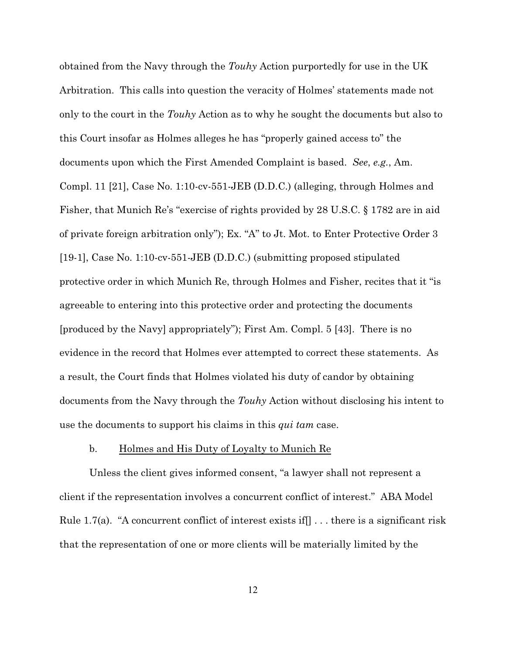obtained from the Navy through the *Touhy* Action purportedly for use in the UK Arbitration. This calls into question the veracity of Holmes' statements made not only to the court in the *Touhy* Action as to why he sought the documents but also to this Court insofar as Holmes alleges he has "properly gained access to" the documents upon which the First Amended Complaint is based. *See*, *e.g.*, Am. Compl. 11 [21], Case No. 1:10-cv-551-JEB (D.D.C.) (alleging, through Holmes and Fisher, that Munich Re's "exercise of rights provided by 28 U.S.C. § 1782 are in aid of private foreign arbitration only"); Ex. "A" to Jt. Mot. to Enter Protective Order 3 [19-1], Case No. 1:10-cv-551-JEB (D.D.C.) (submitting proposed stipulated protective order in which Munich Re, through Holmes and Fisher, recites that it "is agreeable to entering into this protective order and protecting the documents [produced by the Navy] appropriately"); First Am. Compl. 5 [43]. There is no evidence in the record that Holmes ever attempted to correct these statements. As a result, the Court finds that Holmes violated his duty of candor by obtaining documents from the Navy through the *Touhy* Action without disclosing his intent to use the documents to support his claims in this *qui tam* case.

### b. Holmes and His Duty of Loyalty to Munich Re

Unless the client gives informed consent, "a lawyer shall not represent a client if the representation involves a concurrent conflict of interest." ABA Model Rule 1.7(a). "A concurrent conflict of interest exists if  $\vert \cdot \vert$ ... there is a significant risk that the representation of one or more clients will be materially limited by the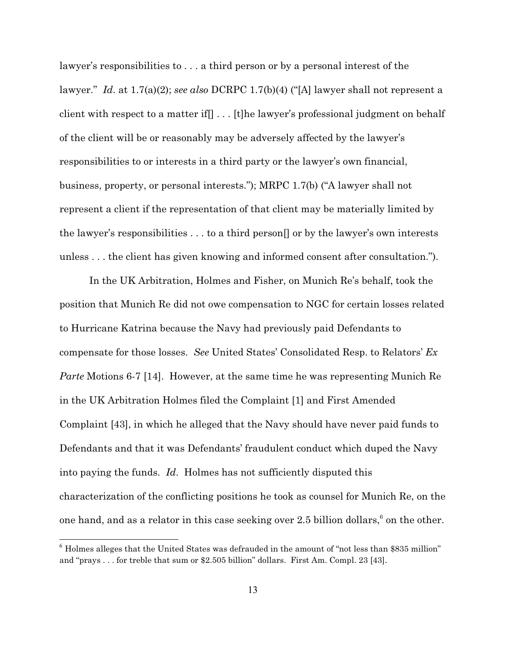lawyer's responsibilities to . . . a third person or by a personal interest of the lawyer." *Id*. at 1.7(a)(2); *see also* DCRPC 1.7(b)(4) ("[A] lawyer shall not represent a client with respect to a matter if[] . . . [t]he lawyer's professional judgment on behalf of the client will be or reasonably may be adversely affected by the lawyer's responsibilities to or interests in a third party or the lawyer's own financial, business, property, or personal interests."); MRPC 1.7(b) ("A lawyer shall not represent a client if the representation of that client may be materially limited by the lawyer's responsibilities . . . to a third person[] or by the lawyer's own interests unless . . . the client has given knowing and informed consent after consultation.").

In the UK Arbitration, Holmes and Fisher, on Munich Re's behalf, took the position that Munich Re did not owe compensation to NGC for certain losses related to Hurricane Katrina because the Navy had previously paid Defendants to compensate for those losses. *See* United States' Consolidated Resp. to Relators' *Ex Parte* Motions 6-7 [14]. However, at the same time he was representing Munich Re in the UK Arbitration Holmes filed the Complaint [1] and First Amended Complaint [43], in which he alleged that the Navy should have never paid funds to Defendants and that it was Defendants' fraudulent conduct which duped the Navy into paying the funds. *Id*. Holmes has not sufficiently disputed this characterization of the conflicting positions he took as counsel for Munich Re, on the one hand, and as a relator in this case seeking over 2.5 billion dollars, $6$  on the other.

 $<sup>6</sup>$  Holmes alleges that the United States was defrauded in the amount of "not less than \$835 million"</sup> and "prays . . . for treble that sum or \$2.505 billion" dollars. First Am. Compl. 23 [43].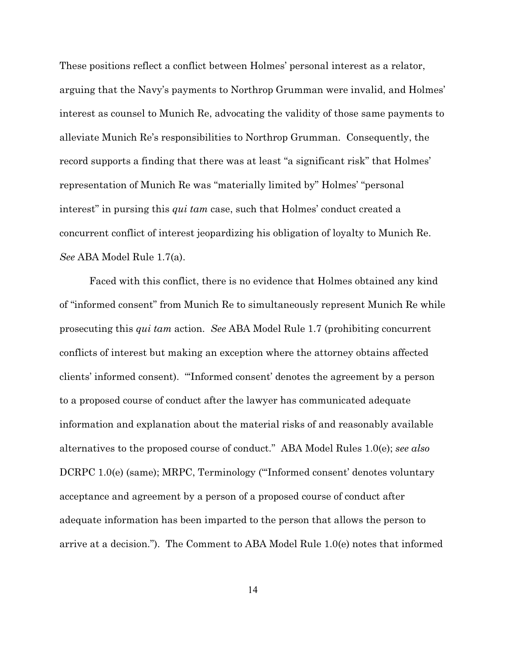These positions reflect a conflict between Holmes' personal interest as a relator, arguing that the Navy's payments to Northrop Grumman were invalid, and Holmes' interest as counsel to Munich Re, advocating the validity of those same payments to alleviate Munich Re's responsibilities to Northrop Grumman. Consequently, the record supports a finding that there was at least "a significant risk" that Holmes' representation of Munich Re was "materially limited by" Holmes' "personal interest" in pursing this *qui tam* case, such that Holmes' conduct created a concurrent conflict of interest jeopardizing his obligation of loyalty to Munich Re. *See* ABA Model Rule 1.7(a).

Faced with this conflict, there is no evidence that Holmes obtained any kind of "informed consent" from Munich Re to simultaneously represent Munich Re while prosecuting this *qui tam* action. *See* ABA Model Rule 1.7 (prohibiting concurrent conflicts of interest but making an exception where the attorney obtains affected clients' informed consent). "'Informed consent' denotes the agreement by a person to a proposed course of conduct after the lawyer has communicated adequate information and explanation about the material risks of and reasonably available alternatives to the proposed course of conduct." ABA Model Rules 1.0(e); *see also* DCRPC 1.0(e) (same); MRPC, Terminology ("'Informed consent' denotes voluntary acceptance and agreement by a person of a proposed course of conduct after adequate information has been imparted to the person that allows the person to arrive at a decision."). The Comment to ABA Model Rule 1.0(e) notes that informed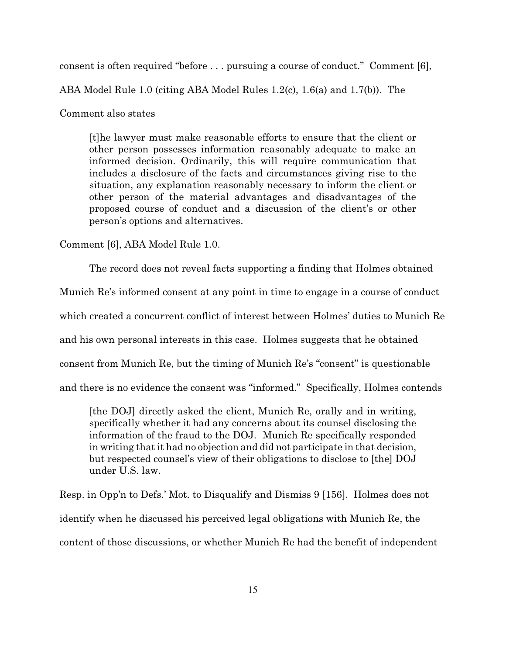consent is often required "before . . . pursuing a course of conduct." Comment [6],

ABA Model Rule 1.0 (citing ABA Model Rules 1.2(c), 1.6(a) and 1.7(b)). The

Comment also states

[t]he lawyer must make reasonable efforts to ensure that the client or other person possesses information reasonably adequate to make an informed decision. Ordinarily, this will require communication that includes a disclosure of the facts and circumstances giving rise to the situation, any explanation reasonably necessary to inform the client or other person of the material advantages and disadvantages of the proposed course of conduct and a discussion of the client's or other person's options and alternatives.

Comment [6], ABA Model Rule 1.0.

The record does not reveal facts supporting a finding that Holmes obtained

Munich Re's informed consent at any point in time to engage in a course of conduct

which created a concurrent conflict of interest between Holmes' duties to Munich Re

and his own personal interests in this case. Holmes suggests that he obtained

consent from Munich Re, but the timing of Munich Re's "consent" is questionable

and there is no evidence the consent was "informed." Specifically, Holmes contends

[the DOJ] directly asked the client, Munich Re, orally and in writing, specifically whether it had any concerns about its counsel disclosing the information of the fraud to the DOJ. Munich Re specifically responded in writing that it had no objection and did not participate in that decision, but respected counsel's view of their obligations to disclose to [the] DOJ under U.S. law.

Resp. in Opp'n to Defs.' Mot. to Disqualify and Dismiss 9 [156]. Holmes does not identify when he discussed his perceived legal obligations with Munich Re, the content of those discussions, or whether Munich Re had the benefit of independent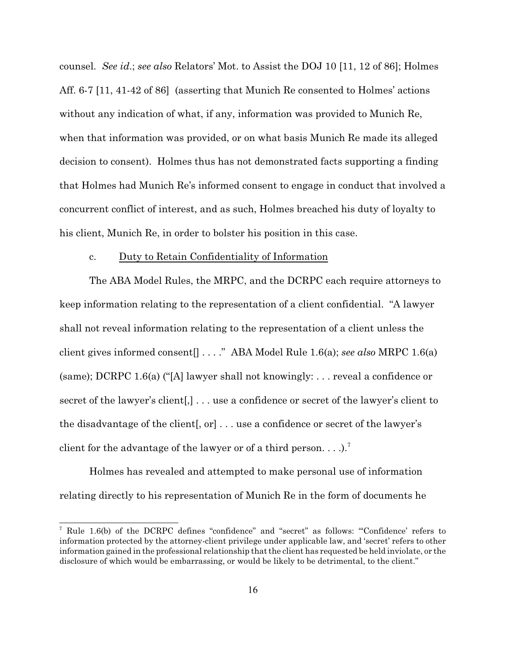counsel. *See id*.; *see also* Relators' Mot. to Assist the DOJ 10 [11, 12 of 86]; Holmes Aff. 6-7 [11, 41-42 of 86] (asserting that Munich Re consented to Holmes' actions without any indication of what, if any, information was provided to Munich Re, when that information was provided, or on what basis Munich Re made its alleged decision to consent). Holmes thus has not demonstrated facts supporting a finding that Holmes had Munich Re's informed consent to engage in conduct that involved a concurrent conflict of interest, and as such, Holmes breached his duty of loyalty to his client, Munich Re, in order to bolster his position in this case.

#### c. Duty to Retain Confidentiality of Information

The ABA Model Rules, the MRPC, and the DCRPC each require attorneys to keep information relating to the representation of a client confidential. "A lawyer shall not reveal information relating to the representation of a client unless the client gives informed consent[] . . . ." ABA Model Rule 1.6(a); *see also* MRPC 1.6(a) (same); DCRPC 1.6(a) ("[A] lawyer shall not knowingly: . . . reveal a confidence or secret of the lawyer's client[,] . . . use a confidence or secret of the lawyer's client to the disadvantage of the client  $[$ , or  $] \ldots$  use a confidence or secret of the lawyer's client for the advantage of the lawyer or of a third person. . . .). <sup>7</sup>

Holmes has revealed and attempted to make personal use of information relating directly to his representation of Munich Re in the form of documents he

<sup>&</sup>lt;sup>7</sup> Rule 1.6(b) of the DCRPC defines "confidence" and "secret" as follows: "Confidence' refers to information protected by the attorney-client privilege under applicable law, and 'secret' refers to other information gained in the professional relationship that the client has requested be held inviolate, or the disclosure of which would be embarrassing, or would be likely to be detrimental, to the client."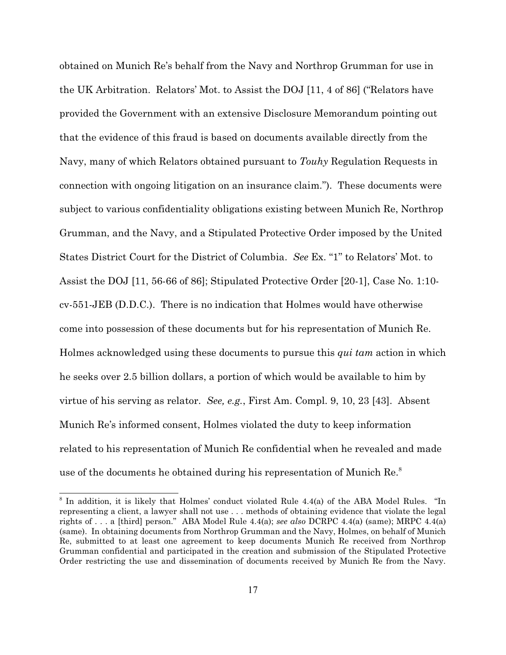obtained on Munich Re's behalf from the Navy and Northrop Grumman for use in the UK Arbitration. Relators' Mot. to Assist the DOJ [11, 4 of 86] ("Relators have provided the Government with an extensive Disclosure Memorandum pointing out that the evidence of this fraud is based on documents available directly from the Navy, many of which Relators obtained pursuant to *Touhy* Regulation Requests in connection with ongoing litigation on an insurance claim."). These documents were subject to various confidentiality obligations existing between Munich Re, Northrop Grumman, and the Navy, and a Stipulated Protective Order imposed by the United States District Court for the District of Columbia. *See* Ex. "1" to Relators' Mot. to Assist the DOJ [11, 56-66 of 86]; Stipulated Protective Order [20-1], Case No. 1:10 cv-551-JEB (D.D.C.). There is no indication that Holmes would have otherwise come into possession of these documents but for his representation of Munich Re. Holmes acknowledged using these documents to pursue this *qui tam* action in which he seeks over 2.5 billion dollars, a portion of which would be available to him by virtue of his serving as relator. *See, e.g.*, First Am. Compl. 9, 10, 23 [43]. Absent Munich Re's informed consent, Holmes violated the duty to keep information related to his representation of Munich Re confidential when he revealed and made use of the documents he obtained during his representation of Munich Re.<sup>8</sup>

 $8$  In addition, it is likely that Holmes' conduct violated Rule 4.4(a) of the ABA Model Rules. "In representing a client, a lawyer shall not use . . . methods of obtaining evidence that violate the legal rights of . . . a [third] person." ABA Model Rule 4.4(a); *see also* DCRPC 4.4(a) (same); MRPC 4.4(a) (same). In obtaining documents from Northrop Grumman and the Navy, Holmes, on behalf of Munich Re, submitted to at least one agreement to keep documents Munich Re received from Northrop Grumman confidential and participated in the creation and submission of the Stipulated Protective Order restricting the use and dissemination of documents received by Munich Re from the Navy.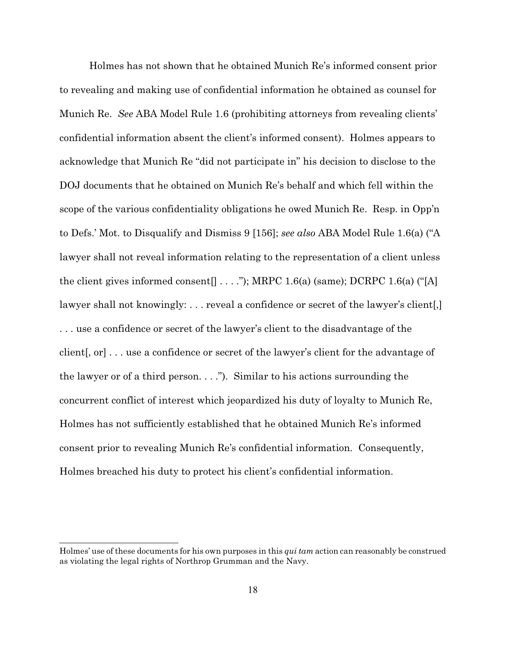Holmes has not shown that he obtained Munich Re's informed consent prior to revealing and making use of confidential information he obtained as counsel for Munich Re. *See* ABA Model Rule 1.6 (prohibiting attorneys from revealing clients' confidential information absent the client's informed consent). Holmes appears to acknowledge that Munich Re "did not participate in" his decision to disclose to the DOJ documents that he obtained on Munich Re's behalf and which fell within the scope of the various confidentiality obligations he owed Munich Re. Resp. in Opp'n to Defs.' Mot. to Disqualify and Dismiss 9 [156]; *see also* ABA Model Rule 1.6(a) ("A lawyer shall not reveal information relating to the representation of a client unless the client gives informed consent[ $\ldots$ ."); MRPC 1.6(a) (same); DCRPC 1.6(a) ("[A] lawyer shall not knowingly: ... reveal a confidence or secret of the lawyer's client. . . . use a confidence or secret of the lawyer's client to the disadvantage of the client[, or] . . . use a confidence or secret of the lawyer's client for the advantage of the lawyer or of a third person.  $\ldots$ "). Similar to his actions surrounding the concurrent conflict of interest which jeopardized his duty of loyalty to Munich Re, Holmes has not sufficiently established that he obtained Munich Re's informed consent prior to revealing Munich Re's confidential information. Consequently, Holmes breached his duty to protect his client's confidential information.

Holmes' use of these documents for his own purposes in this *qui tam* action can reasonably be construed as violating the legal rights of Northrop Grumman and the Navy.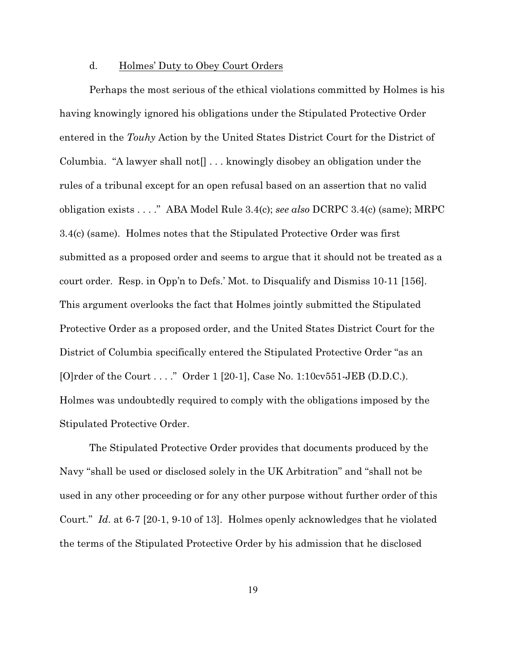#### d. Holmes' Duty to Obey Court Orders

Perhaps the most serious of the ethical violations committed by Holmes is his having knowingly ignored his obligations under the Stipulated Protective Order entered in the *Touhy* Action by the United States District Court for the District of Columbia. "A lawyer shall not $[] \dots$  knowingly disobey an obligation under the rules of a tribunal except for an open refusal based on an assertion that no valid obligation exists . . . ." ABA Model Rule 3.4(c); *see also* DCRPC 3.4(c) (same); MRPC 3.4(c) (same). Holmes notes that the Stipulated Protective Order was first submitted as a proposed order and seems to argue that it should not be treated as a court order. Resp. in Opp'n to Defs.' Mot. to Disqualify and Dismiss 10-11 [156]. This argument overlooks the fact that Holmes jointly submitted the Stipulated Protective Order as a proposed order, and the United States District Court for the District of Columbia specifically entered the Stipulated Protective Order "as an [O]rder of the Court . . . ." Order 1 [20-1], Case No. 1:10cv551-JEB (D.D.C.). Holmes was undoubtedly required to comply with the obligations imposed by the Stipulated Protective Order.

The Stipulated Protective Order provides that documents produced by the Navy "shall be used or disclosed solely in the UK Arbitration" and "shall not be used in any other proceeding or for any other purpose without further order of this Court." *Id*. at 6-7 [20-1, 9-10 of 13]. Holmes openly acknowledges that he violated the terms of the Stipulated Protective Order by his admission that he disclosed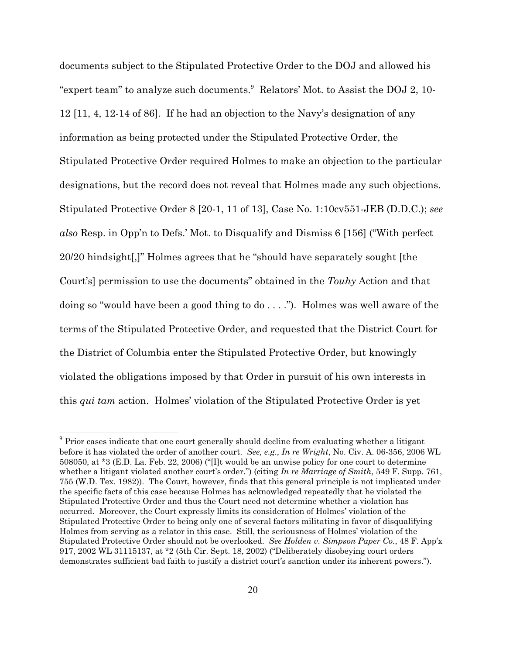documents subject to the Stipulated Protective Order to the DOJ and allowed his "expert team" to analyze such documents. $\degree$  Relators' Mot. to Assist the DOJ 2, 10-12 [11, 4, 12-14 of 86]. If he had an objection to the Navy's designation of any information as being protected under the Stipulated Protective Order, the Stipulated Protective Order required Holmes to make an objection to the particular designations, but the record does not reveal that Holmes made any such objections. Stipulated Protective Order 8 [20-1, 11 of 13], Case No. 1:10cv551-JEB (D.D.C.); *see also* Resp. in Opp'n to Defs.' Mot. to Disqualify and Dismiss 6 [156] ("With perfect 20/20 hindsight[,]" Holmes agrees that he "should have separately sought [the Court's] permission to use the documents" obtained in the *Touhy* Action and that doing so "would have been a good thing to  $\phi$ ...."). Holmes was well aware of the terms of the Stipulated Protective Order, and requested that the District Court for the District of Columbia enter the Stipulated Protective Order, but knowingly violated the obligations imposed by that Order in pursuit of his own interests in this *qui tam* action. Holmes' violation of the Stipulated Protective Order is yet

<sup>&</sup>lt;sup>9</sup> Prior cases indicate that one court generally should decline from evaluating whether a litigant before it has violated the order of another court. *See, e.g.*, *In re Wright*, No. Civ. A. 06-356, 2006 WL 508050, at \*3 (E.D. La. Feb. 22, 2006) ("[I]t would be an unwise policy for one court to determine whether a litigant violated another court's order.") (citing *In re Marriage of Smith*, 549 F. Supp. 761, 755 (W.D. Tex. 1982)). The Court, however, finds that this general principle is not implicated under the specific facts of this case because Holmes has acknowledged repeatedly that he violated the Stipulated Protective Order and thus the Court need not determine whether a violation has occurred. Moreover, the Court expressly limits its consideration of Holmes' violation of the Stipulated Protective Order to being only one of several factors militating in favor of disqualifying Holmes from serving as a relator in this case. Still, the seriousness of Holmes' violation of the Stipulated Protective Order should not be overlooked. *See Holden v. Simpson Paper Co.*, 48 F. App'x 917, 2002 WL 31115137, at \*2 (5th Cir. Sept. 18, 2002) ("Deliberately disobeying court orders demonstrates sufficient bad faith to justify a district court's sanction under its inherent powers.").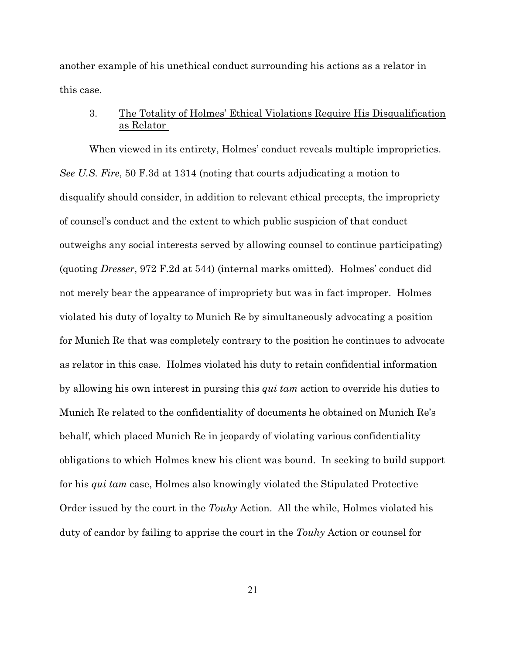another example of his unethical conduct surrounding his actions as a relator in this case.

# 3. The Totality of Holmes' Ethical Violations Require His Disqualification as Relator

When viewed in its entirety, Holmes' conduct reveals multiple improprieties. *See U.S. Fire*, 50 F.3d at 1314 (noting that courts adjudicating a motion to disqualify should consider, in addition to relevant ethical precepts, the impropriety of counsel's conduct and the extent to which public suspicion of that conduct outweighs any social interests served by allowing counsel to continue participating) (quoting *Dresser*, 972 F.2d at 544) (internal marks omitted). Holmes' conduct did not merely bear the appearance of impropriety but was in fact improper. Holmes violated his duty of loyalty to Munich Re by simultaneously advocating a position for Munich Re that was completely contrary to the position he continues to advocate as relator in this case. Holmes violated his duty to retain confidential information by allowing his own interest in pursing this *qui tam* action to override his duties to Munich Re related to the confidentiality of documents he obtained on Munich Re's behalf, which placed Munich Re in jeopardy of violating various confidentiality obligations to which Holmes knew his client was bound. In seeking to build support for his *qui tam* case, Holmes also knowingly violated the Stipulated Protective Order issued by the court in the *Touhy* Action. All the while, Holmes violated his duty of candor by failing to apprise the court in the *Touhy* Action or counsel for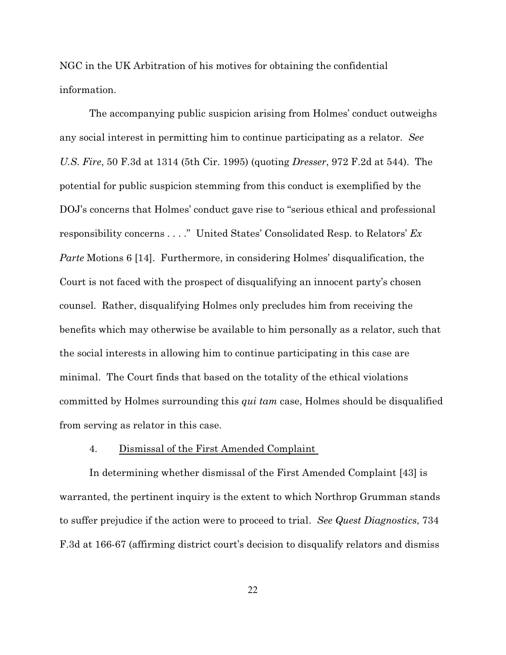NGC in the UK Arbitration of his motives for obtaining the confidential information.

The accompanying public suspicion arising from Holmes' conduct outweighs any social interest in permitting him to continue participating as a relator. *See U.S. Fire*, 50 F.3d at 1314 (5th Cir. 1995) (quoting *Dresser*, 972 F.2d at 544). The potential for public suspicion stemming from this conduct is exemplified by the DOJ's concerns that Holmes' conduct gave rise to "serious ethical and professional responsibility concerns . . . ." United States' Consolidated Resp. to Relators' *Ex Parte* Motions 6 [14]. Furthermore, in considering Holmes' disqualification, the Court is not faced with the prospect of disqualifying an innocent party's chosen counsel. Rather, disqualifying Holmes only precludes him from receiving the benefits which may otherwise be available to him personally as a relator, such that the social interests in allowing him to continue participating in this case are minimal. The Court finds that based on the totality of the ethical violations committed by Holmes surrounding this *qui tam* case, Holmes should be disqualified from serving as relator in this case.

#### 4. Dismissal of the First Amended Complaint

In determining whether dismissal of the First Amended Complaint [43] is warranted, the pertinent inquiry is the extent to which Northrop Grumman stands to suffer prejudice if the action were to proceed to trial. *See Quest Diagnostics*, 734 F.3d at 166-67 (affirming district court's decision to disqualify relators and dismiss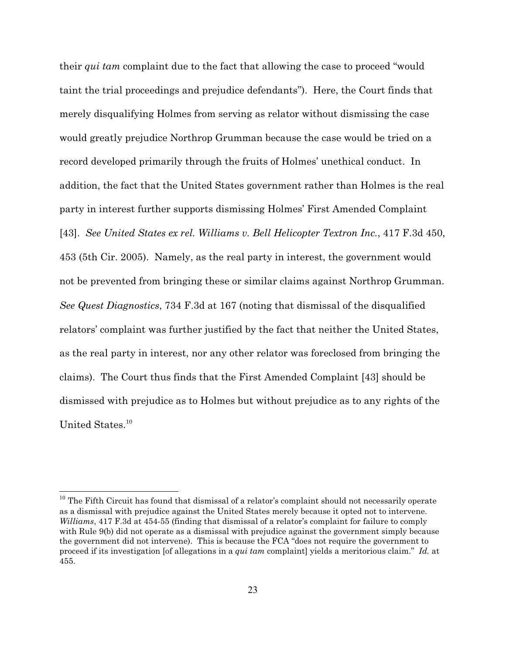their *qui tam* complaint due to the fact that allowing the case to proceed "would taint the trial proceedings and prejudice defendants"). Here, the Court finds that merely disqualifying Holmes from serving as relator without dismissing the case would greatly prejudice Northrop Grumman because the case would be tried on a record developed primarily through the fruits of Holmes' unethical conduct. In addition, the fact that the United States government rather than Holmes is the real party in interest further supports dismissing Holmes' First Amended Complaint [43]. *See United States ex rel. Williams v. Bell Helicopter Textron Inc.*, 417 F.3d 450, 453 (5th Cir. 2005). Namely, as the real party in interest, the government would not be prevented from bringing these or similar claims against Northrop Grumman. *See Quest Diagnostics*, 734 F.3d at 167 (noting that dismissal of the disqualified relators' complaint was further justified by the fact that neither the United States, as the real party in interest, nor any other relator was foreclosed from bringing the claims). The Court thus finds that the First Amended Complaint [43] should be dismissed with prejudice as to Holmes but without prejudice as to any rights of the United States.<sup>10</sup>

 $10$  The Fifth Circuit has found that dismissal of a relator's complaint should not necessarily operate as a dismissal with prejudice against the United States merely because it opted not to intervene. *Williams*, 417 F.3d at 454-55 (finding that dismissal of a relator's complaint for failure to comply with Rule 9(b) did not operate as a dismissal with prejudice against the government simply because the government did not intervene). This is because the FCA "does not require the government to proceed if its investigation [of allegations in a *qui tam* complaint] yields a meritorious claim." *Id.* at 455.